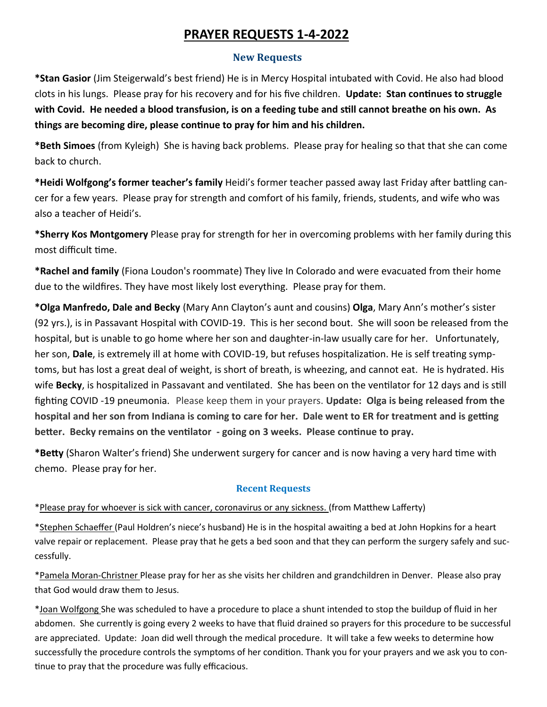# **PRAYER REQUESTS 1-4-2022**

### **New Requests**

**\*Stan Gasior** (Jim Steigerwald's best friend) He is in Mercy Hospital intubated with Covid. He also had blood clots in his lungs. Please pray for his recovery and for his five children. **Update: Stan continues to struggle with Covid. He needed a blood transfusion, is on a feeding tube and still cannot breathe on his own. As things are becoming dire, please continue to pray for him and his children.**

**\*Beth Simoes** (from Kyleigh) She is having back problems. Please pray for healing so that that she can come back to church.

**\*Heidi Wolfgong's former teacher's family** Heidi's former teacher passed away last Friday after battling cancer for a few years. Please pray for strength and comfort of his family, friends, students, and wife who was also a teacher of Heidi's.

**\*Sherry Kos Montgomery** Please pray for strength for her in overcoming problems with her family during this most difficult time.

**\*Rachel and family** (Fiona Loudon's roommate) They live In Colorado and were evacuated from their home due to the wildfires. They have most likely lost everything. Please pray for them.

**\*Olga Manfredo, Dale and Becky** (Mary Ann Clayton's aunt and cousins) **Olga**, Mary Ann's mother's sister (92 yrs.), is in Passavant Hospital with COVID-19. This is her second bout. She will soon be released from the hospital, but is unable to go home where her son and daughter-in-law usually care for her. Unfortunately, her son, **Dale**, is extremely ill at home with COVID-19, but refuses hospitalization. He is self treating symptoms, but has lost a great deal of weight, is short of breath, is wheezing, and cannot eat. He is hydrated. His wife **Becky**, is hospitalized in Passavant and ventilated. She has been on the ventilator for 12 days and is still fighting COVID -19 pneumonia. Please keep them in your prayers. **Update: Olga is being released from the hospital and her son from Indiana is coming to care for her. Dale went to ER for treatment and is getting better. Becky remains on the ventilator - going on 3 weeks. Please continue to pray.**

**\*Betty** (Sharon Walter's friend) She underwent surgery for cancer and is now having a very hard time with chemo. Please pray for her.

## **Recent Requests**

\*Please pray for whoever is sick with cancer, coronavirus or any sickness. (from Matthew Lafferty)

\*Stephen Schaeffer (Paul Holdren's niece's husband) He is in the hospital awaiting a bed at John Hopkins for a heart valve repair or replacement. Please pray that he gets a bed soon and that they can perform the surgery safely and successfully.

\*Pamela Moran-Christner Please pray for her as she visits her children and grandchildren in Denver. Please also pray that God would draw them to Jesus.

\*Joan Wolfgong She was scheduled to have a procedure to place a shunt intended to stop the buildup of fluid in her abdomen. She currently is going every 2 weeks to have that fluid drained so prayers for this procedure to be successful are appreciated. Update: Joan did well through the medical procedure. It will take a few weeks to determine how successfully the procedure controls the symptoms of her condition. Thank you for your prayers and we ask you to continue to pray that the procedure was fully efficacious.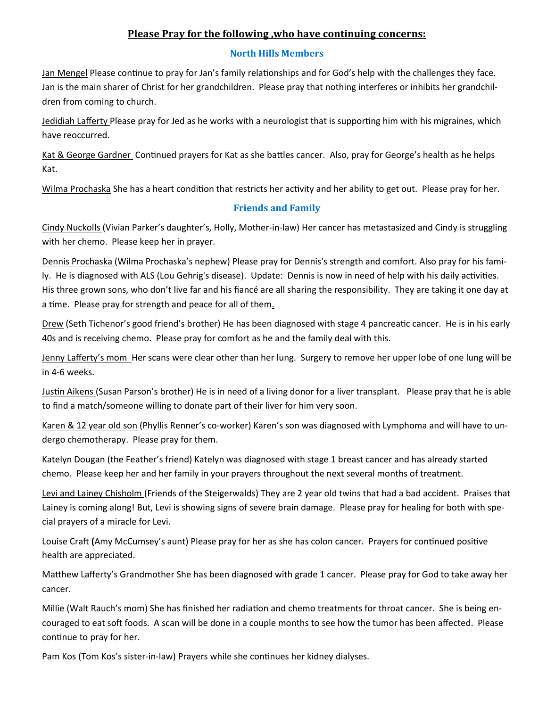## **Please Pray for the following ,who have continuing concerns:**

#### **North Hills Members**

Jan Mengel Please continue to pray for Jan's family relationships and for God's help with the challenges they face. Jan is the main sharer of Christ for her grandchildren. Please pray that nothing interferes or inhibits her grandchildren from coming to church.

Jedidiah Lafferty Please pray for Jed as he works with a neurologist that is supporting him with his migraines, which have reoccurred.

Kat & George Gardner Continued prayers for Kat as she battles cancer. Also, pray for George's health as he helps Kat.

Wilma Prochaska She has a heart condition that restricts her activity and her ability to get out. Please pray for her.

#### **Friends and Family**

Cindy Nuckolls (Vivian Parker's daughter's, Holly, Mother-in-law) Her cancer has metastasized and Cindy is struggling with her chemo. Please keep her in prayer.

Dennis Prochaska (Wilma Prochaska's nephew) Please pray for Dennis's strength and comfort. Also pray for his family. He is diagnosed with ALS (Lou Gehrig's disease). Update: Dennis is now in need of help with his daily activities. His three grown sons, who don't live far and his fiancé are all sharing the responsibility. They are taking it one day at a time. Please pray for strength and peace for all of them.

Drew (Seth Tichenor's good friend's brother) He has been diagnosed with stage 4 pancreatic cancer. He is in his early 40s and is receiving chemo. Please pray for comfort as he and the family deal with this.

Jenny Lafferty's mom\_Her scans were clear other than her lung. Surgery to remove her upper lobe of one lung will be in 4-6 weeks.

Justin Aikens (Susan Parson's brother) He is in need of a living donor for a liver transplant. Please pray that he is able to find a match/someone willing to donate part of their liver for him very soon.

Karen & 12 year old son (Phyllis Renner's co-worker) Karen's son was diagnosed with Lymphoma and will have to undergo chemotherapy. Please pray for them.

Katelyn Dougan (the Feather's friend) Katelyn was diagnosed with stage 1 breast cancer and has already started chemo. Please keep her and her family in your prayers throughout the next several months of treatment.

Levi and Lainey Chisholm (Friends of the Steigerwalds) They are 2 year old twins that had a bad accident. Praises that Lainey is coming along! But, Levi is showing signs of severe brain damage. Please pray for healing for both with special prayers of a miracle for Levi.

Louise Craft **(**Amy McCumsey's aunt) Please pray for her as she has colon cancer. Prayers for continued positive health are appreciated.

Matthew Lafferty's Grandmother She has been diagnosed with grade 1 cancer. Please pray for God to take away her cancer.

Millie (Walt Rauch's mom) She has finished her radiation and chemo treatments for throat cancer. She is being encouraged to eat soft foods. A scan will be done in a couple months to see how the tumor has been affected. Please continue to pray for her.

Pam Kos (Tom Kos's sister-in-law) Prayers while she continues her kidney dialyses.